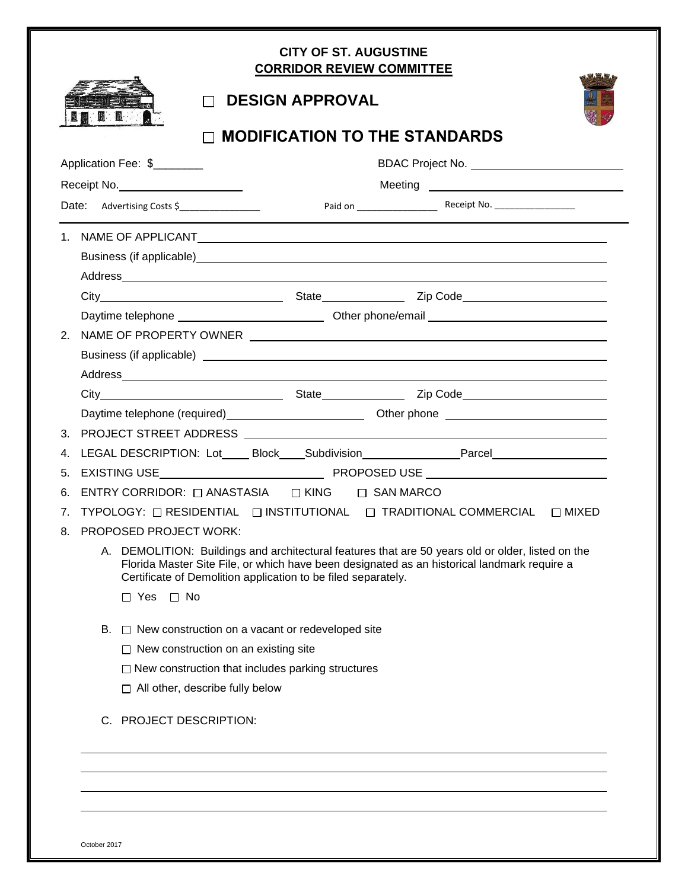| <b>MODIFICATION TO THE STANDARDS</b> |                                                                             |  |                                                                                                                                                                                               |  |  |
|--------------------------------------|-----------------------------------------------------------------------------|--|-----------------------------------------------------------------------------------------------------------------------------------------------------------------------------------------------|--|--|
| Application Fee: \$                  |                                                                             |  |                                                                                                                                                                                               |  |  |
|                                      | Receipt No.                                                                 |  |                                                                                                                                                                                               |  |  |
|                                      | Date: Advertising Costs \$                                                  |  |                                                                                                                                                                                               |  |  |
|                                      |                                                                             |  |                                                                                                                                                                                               |  |  |
|                                      |                                                                             |  | Business (if applicable)<br><u>Business</u> (if applicable)                                                                                                                                   |  |  |
|                                      |                                                                             |  |                                                                                                                                                                                               |  |  |
|                                      |                                                                             |  |                                                                                                                                                                                               |  |  |
|                                      |                                                                             |  | Daytime telephone __________________________________Other phone/email ______________________________                                                                                          |  |  |
| 2.                                   |                                                                             |  |                                                                                                                                                                                               |  |  |
|                                      |                                                                             |  |                                                                                                                                                                                               |  |  |
|                                      |                                                                             |  |                                                                                                                                                                                               |  |  |
|                                      |                                                                             |  |                                                                                                                                                                                               |  |  |
|                                      |                                                                             |  |                                                                                                                                                                                               |  |  |
| 4.                                   |                                                                             |  | LEGAL DESCRIPTION: Lot_____ Block_____ Subdivision___________________Parcel________________________                                                                                           |  |  |
| 5.                                   |                                                                             |  |                                                                                                                                                                                               |  |  |
| 6.                                   | ENTRY CORRIDOR: $\Box$ ANASTASIA $\Box$ KING $\Box$ SAN MARCO               |  |                                                                                                                                                                                               |  |  |
| 7.                                   |                                                                             |  | TYPOLOGY: □ RESIDENTIAL □ INSTITUTIONAL □ TRADITIONAL COMMERCIAL □ MIXED                                                                                                                      |  |  |
| 8.                                   | <b>PROPOSED PROJECT WORK:</b>                                               |  |                                                                                                                                                                                               |  |  |
| Α.                                   | Certificate of Demolition application to be filed separately.<br>□ Yes □ No |  | DEMOLITION: Buildings and architectural features that are 50 years old or older, listed on the<br>Florida Master Site File, or which have been designated as an historical landmark require a |  |  |
| В.                                   | $\Box$ New construction on a vacant or redeveloped site                     |  |                                                                                                                                                                                               |  |  |
|                                      | $\Box$ New construction on an existing site                                 |  |                                                                                                                                                                                               |  |  |
|                                      | $\Box$ New construction that includes parking structures                    |  |                                                                                                                                                                                               |  |  |
|                                      | $\Box$ All other, describe fully below                                      |  |                                                                                                                                                                                               |  |  |
|                                      | C. PROJECT DESCRIPTION:                                                     |  |                                                                                                                                                                                               |  |  |

October 2017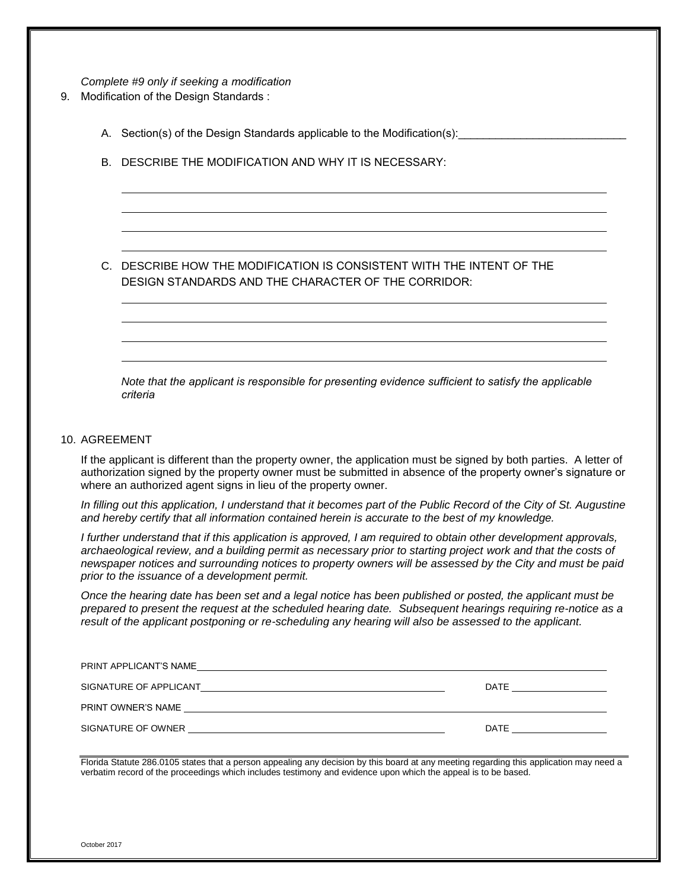*Complete #9 only if seeking a modification*

- 9. Modification of the Design Standards :
	- A. Section(s) of the Design Standards applicable to the Modification(s):
	- B. DESCRIBE THE MODIFICATION AND WHY IT IS NECESSARY:

C. DESCRIBE HOW THE MODIFICATION IS CONSISTENT WITH THE INTENT OF THE DESIGN STANDARDS AND THE CHARACTER OF THE CORRIDOR:

*Note that the applicant is responsible for presenting evidence sufficient to satisfy the applicable criteria*

#### 10. AGREEMENT

If the applicant is different than the property owner, the application must be signed by both parties. A letter of authorization signed by the property owner must be submitted in absence of the property owner's signature or where an authorized agent signs in lieu of the property owner.

*In filling out this application, I understand that it becomes part of the Public Record of the City of St. Augustine and hereby certify that all information contained herein is accurate to the best of my knowledge.*

*I further understand that if this application is approved, I am required to obtain other development approvals, archaeological review, and a building permit as necessary prior to starting project work and that the costs of newspaper notices and surrounding notices to property owners will be assessed by the City and must be paid prior to the issuance of a development permit.*

*Once the hearing date has been set and a legal notice has been published or posted, the applicant must be prepared to present the request at the scheduled hearing date. Subsequent hearings requiring re-notice as a result of the applicant postponing or re-scheduling any hearing will also be assessed to the applicant.*

| PRINT APPLICANT'S NAME<br><u> 1989 - John Stein, september 1989 - John Stein, september 1989 - John Stein, september 1989 - John Stein, se</u> |      |
|------------------------------------------------------------------------------------------------------------------------------------------------|------|
| SIGNATURE OF APPLICANT<br><u> 1989 - John Stein, markin sammen som starte starte starte starte starte starte starte starte starte starte s</u> | DATE |
| PRINT OWNER'S NAME                                                                                                                             |      |
| SIGNATURE OF OWNER                                                                                                                             | DATE |

Florida Statute 286.0105 states that a person appealing any decision by this board at any meeting regarding this application may need a verbatim record of the proceedings which includes testimony and evidence upon which the appeal is to be based.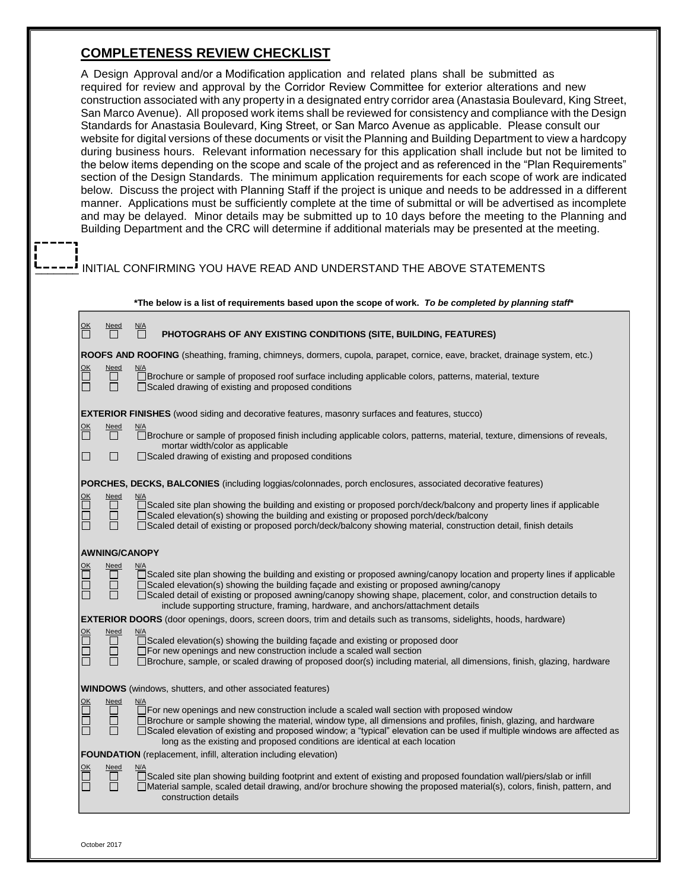### **COMPLETENESS REVIEW CHECKLIST**

A Design Approval and/or a Modification application and related plans shall be submitted as required for review and approval by the Corridor Review Committee for exterior alterations and new construction associated with any property in a designated entry corridor area (Anastasia Boulevard, King Street, San Marco Avenue). All proposed work items shall be reviewed for consistency and compliance with the Design Standards for Anastasia Boulevard, King Street, or San Marco Avenue as applicable. Please consult our website for digital versions of these documents or visit the Planning and Building Department to view a hardcopy during business hours. Relevant information necessary for this application shall include but not be limited to the below items depending on the scope and scale of the project and as referenced in the "Plan Requirements" section of the Design Standards. The minimum application requirements for each scope of work are indicated below. Discuss the project with Planning Staff if the project is unique and needs to be addressed in a different manner. Applications must be sufficiently complete at the time of submittal or will be advertised as incomplete and may be delayed. Minor details may be submitted up to 10 days before the meeting to the Planning and Building Department and the CRC will determine if additional materials may be presented at the meeting.

### INITIAL CONFIRMING YOU HAVE READ AND UNDERSTAND THE ABOVE STATEMENTS

|                                     |                                      | *The below is a list of requirements based upon the scope of work. To be completed by planning staff*                                                                                                                                                                                                                                                                                                                              |
|-------------------------------------|--------------------------------------|------------------------------------------------------------------------------------------------------------------------------------------------------------------------------------------------------------------------------------------------------------------------------------------------------------------------------------------------------------------------------------------------------------------------------------|
| 뜸                                   | <u>Need</u>                          | <u>N/A</u><br>П<br>PHOTOGRAHS OF ANY EXISTING CONDITIONS (SITE, BUILDING, FEATURES)                                                                                                                                                                                                                                                                                                                                                |
|                                     |                                      | ROOFS AND ROOFING (sheathing, framing, chimneys, dormers, cupola, parapet, cornice, eave, bracket, drainage system, etc.)                                                                                                                                                                                                                                                                                                          |
| <u>ОК</u><br>$\Box$                 | Need<br>$\Box$<br>П                  | <u>N/A</u><br>□Brochure or sample of proposed roof surface including applicable colors, patterns, material, texture<br>□Scaled drawing of existing and proposed conditions                                                                                                                                                                                                                                                         |
|                                     |                                      | <b>EXTERIOR FINISHES</b> (wood siding and decorative features, masonry surfaces and features, stucco)                                                                                                                                                                                                                                                                                                                              |
| ок<br>П<br>$\overline{\phantom{0}}$ | $\frac{Need}{\prod}$<br>$\Box$       | □ Brochure or sample of proposed finish including applicable colors, patterns, material, texture, dimensions of reveals,<br>mortar width/color as applicable<br>□ Scaled drawing of existing and proposed conditions                                                                                                                                                                                                               |
|                                     |                                      |                                                                                                                                                                                                                                                                                                                                                                                                                                    |
|                                     |                                      | <b>PORCHES, DECKS, BALCONIES</b> (including loggias/colonnades, porch enclosures, associated decorative features)                                                                                                                                                                                                                                                                                                                  |
| $\frac{\text{OK}}{\Box}$<br>П       | <b>Need</b><br>П<br>$\Box$<br>П      | □Scaled site plan showing the building and existing or proposed porch/deck/balcony and property lines if applicable<br>□Scaled elevation(s) showing the building and existing or proposed porch/deck/balcony<br>□Scaled detail of existing or proposed porch/deck/balcony showing material, construction detail, finish details                                                                                                    |
|                                     | <b>AWNING/CANOPY</b>                 |                                                                                                                                                                                                                                                                                                                                                                                                                                    |
| $\frac{\text{OK}}{\Box}$<br>Ō<br>Ē  | <b>Need</b><br>$\Box$<br>$\Box$<br>П | □Scaled site plan showing the building and existing or proposed awning/canopy location and property lines if applicable<br>□Scaled elevation(s) showing the building façade and existing or proposed awning/canopy<br>□Scaled detail of existing or proposed awning/canopy showing shape, placement, color, and construction details to<br>include supporting structure, framing, hardware, and anchors/attachment details         |
|                                     |                                      | <b>EXTERIOR DOORS</b> (door openings, doors, screen doors, trim and details such as transoms, sidelights, hoods, hardware)                                                                                                                                                                                                                                                                                                         |
| OK<br>O<br>Ē                        | Need<br>П<br>$\Box$<br>П             | N/A<br>□Scaled elevation(s) showing the building façade and existing or proposed door<br>□ For new openings and new construction include a scaled wall section<br>□Brochure, sample, or scaled drawing of proposed door(s) including material, all dimensions, finish, glazing, hardware                                                                                                                                           |
|                                     |                                      | <b>WINDOWS</b> (windows, shutters, and other associated features)                                                                                                                                                                                                                                                                                                                                                                  |
| $\Box$<br>Ħ                         | Need<br>П<br>$\Box$<br>П             | N/A<br>□ For new openings and new construction include a scaled wall section with proposed window<br>□ Brochure or sample showing the material, window type, all dimensions and profiles, finish, glazing, and hardware<br>□Scaled elevation of existing and proposed window; a "typical" elevation can be used if multiple windows are affected as<br>long as the existing and proposed conditions are identical at each location |
|                                     |                                      | FOUNDATION (replacement, infill, alteration including elevation)                                                                                                                                                                                                                                                                                                                                                                   |
| Ë<br>币                              | Need<br>$\Box$<br>П                  | N/A<br>□Scaled site plan showing building footprint and extent of existing and proposed foundation wall/piers/slab or infill<br>□Material sample, scaled detail drawing, and/or brochure showing the proposed material(s), colors, finish, pattern, and<br>construction details                                                                                                                                                    |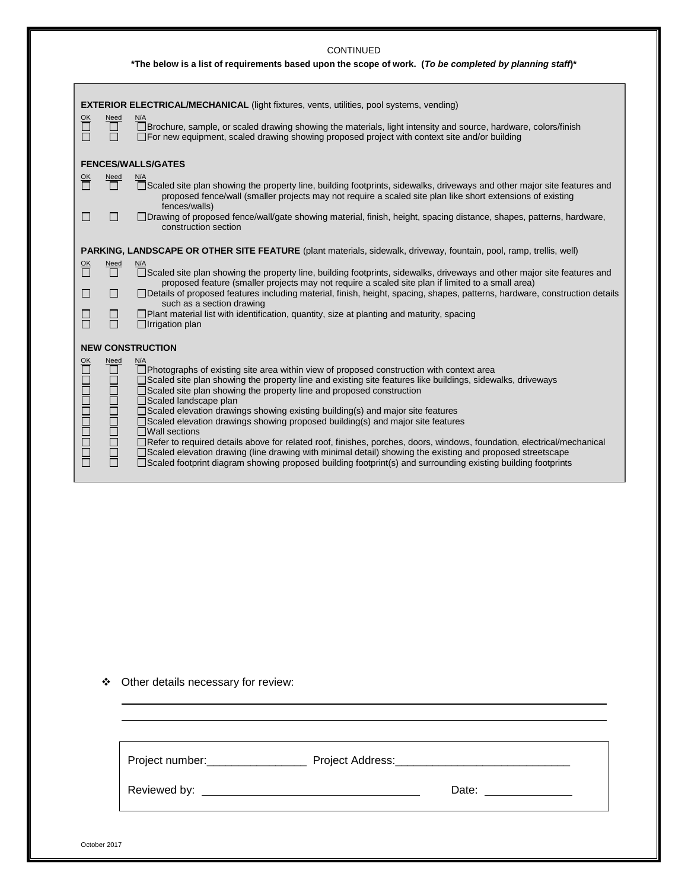|                              |                                | *The below is a list of requirements based upon the scope of work. (To be completed by planning staff)*                                                                                                                                                                                                                                                                                                                                                                                                                                                                                                                                                                                                                                                                                                                                                                     |
|------------------------------|--------------------------------|-----------------------------------------------------------------------------------------------------------------------------------------------------------------------------------------------------------------------------------------------------------------------------------------------------------------------------------------------------------------------------------------------------------------------------------------------------------------------------------------------------------------------------------------------------------------------------------------------------------------------------------------------------------------------------------------------------------------------------------------------------------------------------------------------------------------------------------------------------------------------------|
| <u>ОК</u>                    | Need                           | <b>EXTERIOR ELECTRICAL/MECHANICAL</b> (light fixtures, vents, utilities, pool systems, vending)<br>N/A                                                                                                                                                                                                                                                                                                                                                                                                                                                                                                                                                                                                                                                                                                                                                                      |
|                              |                                | □ Brochure, sample, or scaled drawing showing the materials, light intensity and source, hardware, colors/finish<br>□ For new equipment, scaled drawing showing proposed project with context site and/or building                                                                                                                                                                                                                                                                                                                                                                                                                                                                                                                                                                                                                                                          |
|                              |                                | <b>FENCES/WALLS/GATES</b>                                                                                                                                                                                                                                                                                                                                                                                                                                                                                                                                                                                                                                                                                                                                                                                                                                                   |
| $\frac{OK}{\Box}$            | $\frac{\text{Need}}{\Box}$     | N/A<br>□Scaled site plan showing the property line, building footprints, sidewalks, driveways and other major site features and<br>proposed fence/wall (smaller projects may not require a scaled site plan like short extensions of existing<br>fences/walls)                                                                                                                                                                                                                                                                                                                                                                                                                                                                                                                                                                                                              |
|                              | $\mathsf{L}$                   | □Drawing of proposed fence/wall/gate showing material, finish, height, spacing distance, shapes, patterns, hardware,<br>construction section                                                                                                                                                                                                                                                                                                                                                                                                                                                                                                                                                                                                                                                                                                                                |
|                              |                                | PARKING, LANDSCAPE OR OTHER SITE FEATURE (plant materials, sidewalk, driveway, fountain, pool, ramp, trellis, well)                                                                                                                                                                                                                                                                                                                                                                                                                                                                                                                                                                                                                                                                                                                                                         |
| 쁚                            | <b>Need</b><br>П               | <u>N/A</u><br>□Scaled site plan showing the property line, building footprints, sidewalks, driveways and other major site features and<br>proposed feature (smaller projects may not require a scaled site plan if limited to a small area)                                                                                                                                                                                                                                                                                                                                                                                                                                                                                                                                                                                                                                 |
| H                            | П                              | □Details of proposed features including material, finish, height, spacing, shapes, patterns, hardware, construction details<br>such as a section drawing                                                                                                                                                                                                                                                                                                                                                                                                                                                                                                                                                                                                                                                                                                                    |
|                              | ⊔<br>П                         | $\Box$ Plant material list with identification, quantity, size at planting and maturity, spacing<br>$\Box$ Irrigation plan                                                                                                                                                                                                                                                                                                                                                                                                                                                                                                                                                                                                                                                                                                                                                  |
|                              |                                | <b>NEW CONSTRUCTION</b>                                                                                                                                                                                                                                                                                                                                                                                                                                                                                                                                                                                                                                                                                                                                                                                                                                                     |
| $\frac{\text{OK}}{\text{U}}$ | <b>Need</b><br><b>DOODOODO</b> | N/A<br>□ Photographs of existing site area within view of proposed construction with context area<br>□ Scaled site plan showing the property line and existing site features like buildings, sidewalks, driveways<br>□ Scaled site plan showing the property line and proposed construction<br>□Scaled landscape plan<br>□Scaled elevation drawings showing existing building(s) and major site features<br>Scaled elevation drawings showing proposed building(s) and major site features<br>$\Box$ Wall sections<br>Refer to required details above for related roof, finishes, porches, doors, windows, foundation, electrical/mechanical<br>□Scaled elevation drawing (line drawing with minimal detail) showing the existing and proposed streetscape<br>□Scaled footprint diagram showing proposed building footprint(s) and surrounding existing building footprints |

CONTINUED

|  |  |  | ❖ Other details necessary for review: |  |  |
|--|--|--|---------------------------------------|--|--|
|--|--|--|---------------------------------------|--|--|

| Project number:__________________ |                                                                                                                                                                                                                                |  |
|-----------------------------------|--------------------------------------------------------------------------------------------------------------------------------------------------------------------------------------------------------------------------------|--|
|                                   | Date: the contract of the contract of the contract of the contract of the contract of the contract of the contract of the contract of the contract of the contract of the contract of the contract of the contract of the cont |  |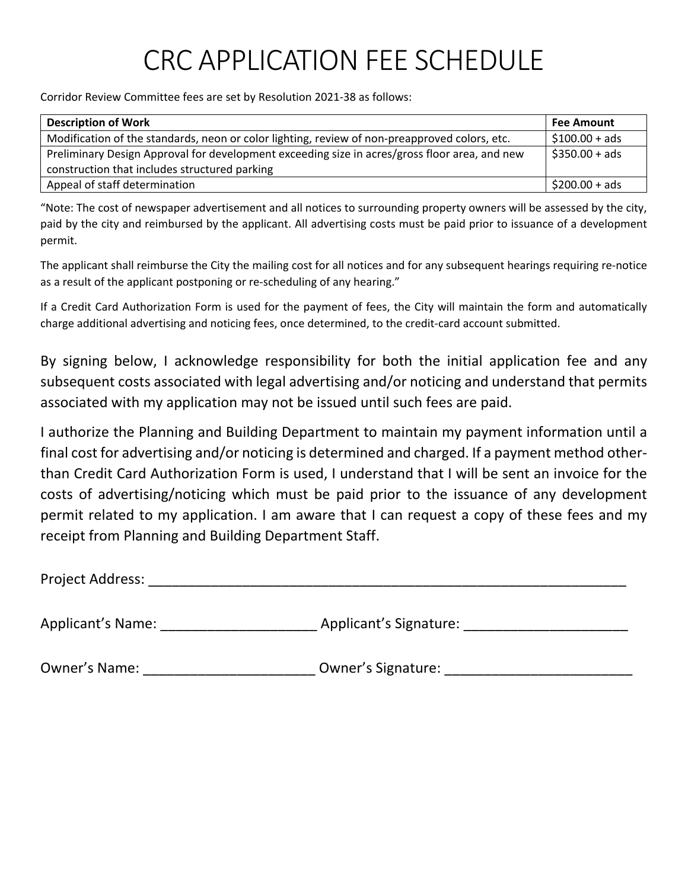# CRC APPLICATION FEE SCHEDULE

Corridor Review Committee fees are set by Resolution 2021-38 as follows:

| <b>Description of Work</b>                                                                    | <b>Fee Amount</b> |
|-----------------------------------------------------------------------------------------------|-------------------|
| Modification of the standards, neon or color lighting, review of non-preapproved colors, etc. | $$100.00 + ads$   |
| Preliminary Design Approval for development exceeding size in acres/gross floor area, and new | $$350.00 + ads$   |
| construction that includes structured parking                                                 |                   |
| Appeal of staff determination                                                                 | $$200.00 + ads$   |

"Note: The cost of newspaper advertisement and all notices to surrounding property owners will be assessed by the city, paid by the city and reimbursed by the applicant. All advertising costs must be paid prior to issuance of a development permit.

The applicant shall reimburse the City the mailing cost for all notices and for any subsequent hearings requiring re-notice as a result of the applicant postponing or re-scheduling of any hearing."

If a Credit Card Authorization Form is used for the payment of fees, the City will maintain the form and automatically charge additional advertising and noticing fees, once determined, to the credit-card account submitted.

By signing below, I acknowledge responsibility for both the initial application fee and any subsequent costs associated with legal advertising and/or noticing and understand that permits associated with my application may not be issued until such fees are paid.

I authorize the Planning and Building Department to maintain my payment information until a final cost for advertising and/or noticing is determined and charged. If a payment method otherthan Credit Card Authorization Form is used, I understand that I will be sent an invoice for the costs of advertising/noticing which must be paid prior to the issuance of any development permit related to my application. I am aware that I can request a copy of these fees and my receipt from Planning and Building Department Staff.

Project Address: \_\_\_\_\_\_\_\_\_\_\_\_\_\_\_\_\_\_\_\_\_\_\_\_\_\_\_\_\_\_\_\_\_\_\_\_\_\_\_\_\_\_\_\_\_\_\_\_\_\_\_\_\_\_\_\_\_\_\_\_\_

Applicant's Name: \_\_\_\_\_\_\_\_\_\_\_\_\_\_\_\_\_\_\_\_ Applicant's Signature: \_\_\_\_\_\_\_\_\_\_\_\_\_\_\_\_\_\_\_\_\_

Owner's Name: \_\_\_\_\_\_\_\_\_\_\_\_\_\_\_\_\_\_\_\_\_\_\_\_\_\_\_\_Owner's Signature: \_\_\_\_\_\_\_\_\_\_\_\_\_\_\_\_\_\_\_